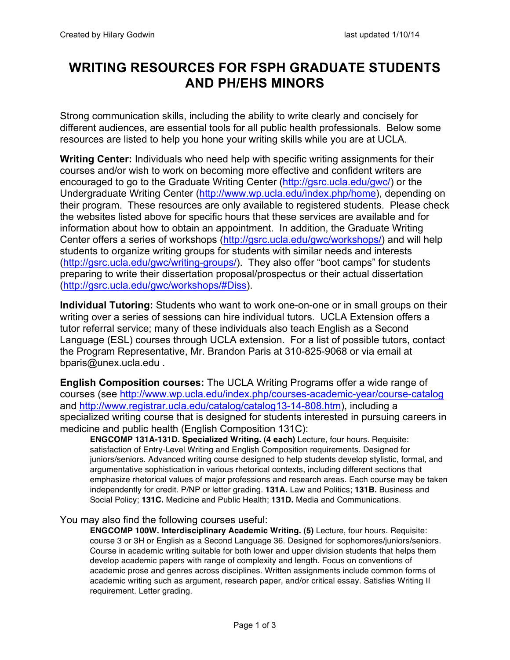## **WRITING RESOURCES FOR FSPH GRADUATE STUDENTS AND PH/EHS MINORS**

Strong communication skills, including the ability to write clearly and concisely for different audiences, are essential tools for all public health professionals. Below some resources are listed to help you hone your writing skills while you are at UCLA.

**Writing Center:** Individuals who need help with specific writing assignments for their courses and/or wish to work on becoming more effective and confident writers are encouraged to go to the Graduate Writing Center (http://gsrc.ucla.edu/gwc/) or the Undergraduate Writing Center (http://www.wp.ucla.edu/index.php/home), depending on their program. These resources are only available to registered students. Please check the websites listed above for specific hours that these services are available and for information about how to obtain an appointment. In addition, the Graduate Writing Center offers a series of workshops (http://gsrc.ucla.edu/gwc/workshops/) and will help students to organize writing groups for students with similar needs and interests (http://gsrc.ucla.edu/gwc/writing-groups/). They also offer "boot camps" for students preparing to write their dissertation proposal/prospectus or their actual dissertation (http://gsrc.ucla.edu/gwc/workshops/#Diss).

**Individual Tutoring:** Students who want to work one-on-one or in small groups on their writing over a series of sessions can hire individual tutors. UCLA Extension offers a tutor referral service; many of these individuals also teach English as a Second Language (ESL) courses through UCLA extension. For a list of possible tutors, contact the Program Representative, Mr. Brandon Paris at 310-825-9068 or via email at bparis@unex.ucla.edu .

**English Composition courses:** The UCLA Writing Programs offer a wide range of courses (see http://www.wp.ucla.edu/index.php/courses-academic-year/course-catalog and http://www.registrar.ucla.edu/catalog/catalog13-14-808.htm), including a specialized writing course that is designed for students interested in pursuing careers in medicine and public health (English Composition 131C):

**ENGCOMP 131A-131D. Specialized Writing. (4 each)** Lecture, four hours. Requisite: satisfaction of Entry-Level Writing and English Composition requirements. Designed for juniors/seniors. Advanced writing course designed to help students develop stylistic, formal, and argumentative sophistication in various rhetorical contexts, including different sections that emphasize rhetorical values of major professions and research areas. Each course may be taken independently for credit. P/NP or letter grading. **131A.** Law and Politics; **131B.** Business and Social Policy; **131C.** Medicine and Public Health; **131D.** Media and Communications.

## You may also find the following courses useful:

**ENGCOMP 100W. Interdisciplinary Academic Writing. (5)** Lecture, four hours. Requisite: course 3 or 3H or English as a Second Language 36. Designed for sophomores/juniors/seniors. Course in academic writing suitable for both lower and upper division students that helps them develop academic papers with range of complexity and length. Focus on conventions of academic prose and genres across disciplines. Written assignments include common forms of academic writing such as argument, research paper, and/or critical essay. Satisfies Writing II requirement. Letter grading.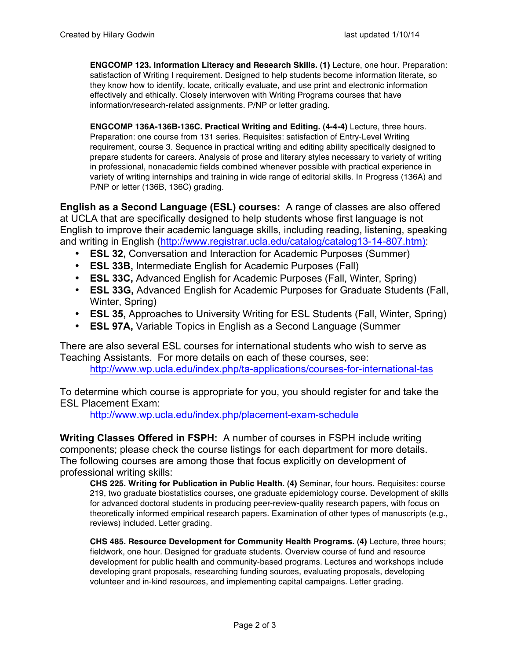**ENGCOMP 123. Information Literacy and Research Skills. (1)** Lecture, one hour. Preparation: satisfaction of Writing I requirement. Designed to help students become information literate, so they know how to identify, locate, critically evaluate, and use print and electronic information effectively and ethically. Closely interwoven with Writing Programs courses that have information/research-related assignments. P/NP or letter grading.

**ENGCOMP 136A-136B-136C. Practical Writing and Editing. (4-4-4)** Lecture, three hours. Preparation: one course from 131 series. Requisites: satisfaction of Entry-Level Writing requirement, course 3. Sequence in practical writing and editing ability specifically designed to prepare students for careers. Analysis of prose and literary styles necessary to variety of writing in professional, nonacademic fields combined whenever possible with practical experience in variety of writing internships and training in wide range of editorial skills. In Progress (136A) and P/NP or letter (136B, 136C) grading.

**English as a Second Language (ESL) courses:** A range of classes are also offered at UCLA that are specifically designed to help students whose first language is not English to improve their academic language skills, including reading, listening, speaking and writing in English (http://www.registrar.ucla.edu/catalog/catalog13-14-807.htm):

- **ESL 32,** Conversation and Interaction for Academic Purposes (Summer)
- **ESL 33B,** Intermediate English for Academic Purposes (Fall)
- **ESL 33C,** Advanced English for Academic Purposes (Fall, Winter, Spring)
- **ESL 33G,** Advanced English for Academic Purposes for Graduate Students (Fall, Winter, Spring)
- **ESL 35,** Approaches to University Writing for ESL Students (Fall, Winter, Spring)
- **ESL 97A,** Variable Topics in English as a Second Language (Summer

There are also several ESL courses for international students who wish to serve as Teaching Assistants. For more details on each of these courses, see: http://www.wp.ucla.edu/index.php/ta-applications/courses-for-international-tas

To determine which course is appropriate for you, you should register for and take the ESL Placement Exam:

http://www.wp.ucla.edu/index.php/placement-exam-schedule

**Writing Classes Offered in FSPH:** A number of courses in FSPH include writing components; please check the course listings for each department for more details. The following courses are among those that focus explicitly on development of professional writing skills:

**CHS 225. Writing for Publication in Public Health. (4)** Seminar, four hours. Requisites: course 219, two graduate biostatistics courses, one graduate epidemiology course. Development of skills for advanced doctoral students in producing peer-review-quality research papers, with focus on theoretically informed empirical research papers. Examination of other types of manuscripts (e.g., reviews) included. Letter grading.

**CHS 485. Resource Development for Community Health Programs. (4)** Lecture, three hours; fieldwork, one hour. Designed for graduate students. Overview course of fund and resource development for public health and community-based programs. Lectures and workshops include developing grant proposals, researching funding sources, evaluating proposals, developing volunteer and in-kind resources, and implementing capital campaigns. Letter grading.